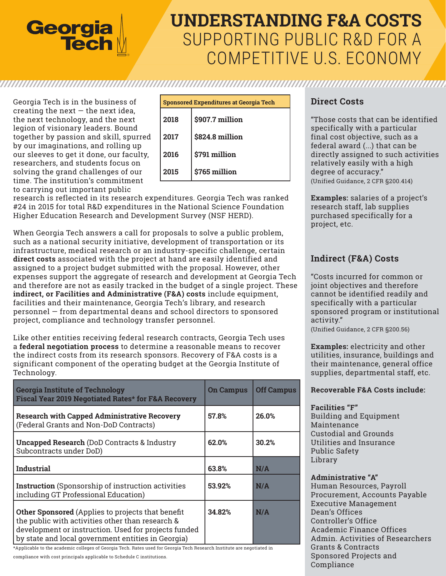

# **UNDERSTANDING F&A COSTS** SUPPORTING PUBLIC R&D FOR A COMPETITIVE U.S. ECONOMY

Georgia Tech is in the business of creating the next  $-$  the next idea, the next technology, and the next legion of visionary leaders. Bound together by passion and skill, spurred by our imaginations, and rolling up our sleeves to get it done, our faculty, researchers, and students focus on solving the grand challenges of our time. The institution's commitment to carrying out important public

| <b>Sponsored Expenditures at Georgia Tech</b> |                 |  |
|-----------------------------------------------|-----------------|--|
| 2018                                          | \$907.7 million |  |
| 2017                                          | \$824.8 million |  |
| 2016                                          | \$791 million   |  |
| 2015                                          | \$765 million   |  |

research is reflected in its research expenditures. Georgia Tech was ranked #24 in 2015 for total R&D expenditures in the National Science Foundation Higher Education Research and Development Survey (NSF HERD).

When Georgia Tech answers a call for proposals to solve a public problem, such as a national security initiative, development of transportation or its infrastructure, medical research or an industry-specific challenge, certain **direct costs** associated with the project at hand are easily identified and assigned to a project budget submitted with the proposal. However, other expenses support the aggregate of research and development at Georgia Tech and therefore are not as easily tracked in the budget of a single project. These **indirect, or Facilities and Administrative (F&A) costs** include equipment, facilities and their maintenance, Georgia Tech's library, and research personnel — from departmental deans and school directors to sponsored project, compliance and technology transfer personnel.

Like other entities receiving federal research contracts, Georgia Tech uses a **federal negotiation process** to determine a reasonable means to recover the indirect costs from its research sponsors. Recovery of F&A costs is a significant component of the operating budget at the Georgia Institute of Technology.

| <b>Georgia Institute of Technology</b><br>Fiscal Year 2019 Negotiated Rates* for F&A Recovery                                                                                                                              | <b>On Campus</b> | <b>Off Campus</b> |
|----------------------------------------------------------------------------------------------------------------------------------------------------------------------------------------------------------------------------|------------------|-------------------|
| <b>Research with Capped Administrative Recovery</b><br>(Federal Grants and Non-DoD Contracts)                                                                                                                              | 57.8%            | 26.0%             |
| <b>Uncapped Research (DoD Contracts &amp; Industry</b><br>Subcontracts under DoD)                                                                                                                                          | 62.0%            | 30.2%             |
| <b>Industrial</b>                                                                                                                                                                                                          | 63.8%            | N/A               |
| <b>Instruction</b> (Sponsorship of instruction activities)<br>including GT Professional Education)                                                                                                                         | 53.92%           | N/A               |
| <b>Other Sponsored</b> (Applies to projects that benefit<br>the public with activities other than research &<br>development or instruction. Used for projects funded<br>by state and local government entities in Georgia) | 34.82%           | N/A               |

\*Applicable to the academic colleges of Georgia Tech. Rates used for Georgia Tech Research Institute are negotiated in

compliance with cost principals applicable to Schedule C institutions.

## **Direct Costs**

"Those costs that can be identified specifically with a particular final cost objective, such as a federal award (...) that can be directly assigned to such activities relatively easily with a high degree of accuracy." (Unified Guidance, 2 CFR §200.414)

**Examples:** salaries of a project's research staff, lab supplies purchased specifically for a project, etc.

# **Indirect (F&A) Costs**

"Costs incurred for common or joint objectives and therefore cannot be identified readily and specifically with a particular sponsored program or institutional activity."

(Unified Guidance, 2 CFR §200.56)

**Examples:** electricity and other utilities, insurance, buildings and their maintenance, general office supplies, departmental staff, etc.

### **Recoverable F&A Costs include:**

#### **Facilities "F"**

Building and Equipment Maintenance Custodial and Grounds Utilities and Insurance Public Safety Library

### **Administrative "A"**

Human Resources, Payroll Procurement, Accounts Payable Executive Management Dean's Offices Controller's Office Academic Finance Offices Admin. Activities of Researchers Grants & Contracts Sponsored Projects and Compliance